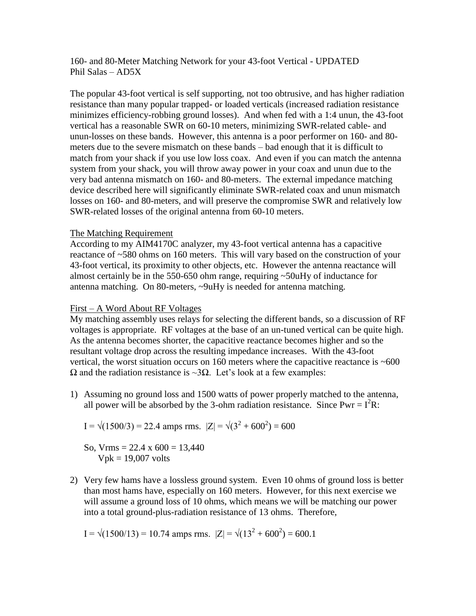160- and 80-Meter Matching Network for your 43-foot Vertical - UPDATED Phil Salas – AD5X

The popular 43-foot vertical is self supporting, not too obtrusive, and has higher radiation resistance than many popular trapped- or loaded verticals (increased radiation resistance minimizes efficiency-robbing ground losses). And when fed with a 1:4 unun, the 43-foot vertical has a reasonable SWR on 60-10 meters, minimizing SWR-related cable- and unun-losses on these bands. However, this antenna is a poor performer on 160- and 80 meters due to the severe mismatch on these bands – bad enough that it is difficult to match from your shack if you use low loss coax. And even if you can match the antenna system from your shack, you will throw away power in your coax and unun due to the very bad antenna mismatch on 160- and 80-meters. The external impedance matching device described here will significantly eliminate SWR-related coax and unun mismatch losses on 160- and 80-meters, and will preserve the compromise SWR and relatively low SWR-related losses of the original antenna from 60-10 meters.

## The Matching Requirement

According to my AIM4170C analyzer, my 43-foot vertical antenna has a capacitive reactance of ~580 ohms on 160 meters. This will vary based on the construction of your 43-foot vertical, its proximity to other objects, etc. However the antenna reactance will almost certainly be in the 550-650 ohm range, requiring ~50uHy of inductance for antenna matching. On 80-meters, ~9uHy is needed for antenna matching.

### First – A Word About RF Voltages

My matching assembly uses relays for selecting the different bands, so a discussion of RF voltages is appropriate. RF voltages at the base of an un-tuned vertical can be quite high. As the antenna becomes shorter, the capacitive reactance becomes higher and so the resultant voltage drop across the resulting impedance increases. With the 43-foot vertical, the worst situation occurs on 160 meters where the capacitive reactance is  $~600$  $\Omega$  and the radiation resistance is ~3 $\Omega$ . Let's look at a few examples:

1) Assuming no ground loss and 1500 watts of power properly matched to the antenna, all power will be absorbed by the 3-ohm radiation resistance. Since  $Pwr = I^2R$ :

$$
I = \sqrt{(1500/3)} = 22.4
$$
amps rms.  $|Z| = \sqrt{(3^2 + 600^2)} = 600$ 

So, Vrms =  $22.4 \times 600 = 13,440$  $Vpk = 19,007$  volts

2) Very few hams have a lossless ground system. Even 10 ohms of ground loss is better than most hams have, especially on 160 meters. However, for this next exercise we will assume a ground loss of 10 ohms, which means we will be matching our power into a total ground-plus-radiation resistance of 13 ohms. Therefore,

 $I = \sqrt{(1500/13)} = 10.74$  amps rms.  $|Z| = \sqrt{(13^2 + 600^2)} = 600.1$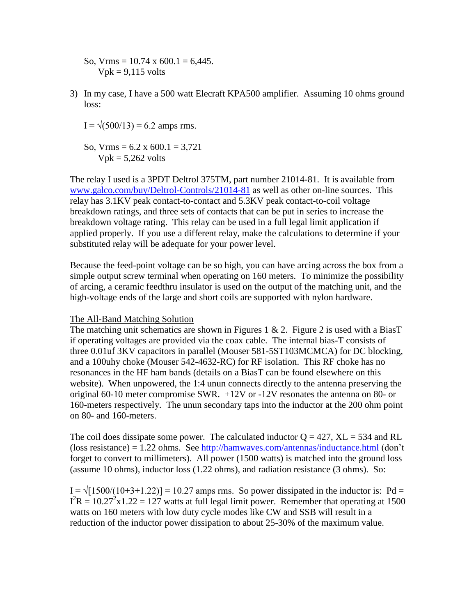- So, Vrms =  $10.74 \times 600.1 = 6,445$ .  $Vpk = 9,115$  volts
- 3) In my case, I have a 500 watt Elecraft KPA500 amplifier. Assuming 10 ohms ground loss:
	- $I = \sqrt{(500/13)} = 6.2$  amps rms.
	- So, Vrms =  $6.2 \times 600.1 = 3,721$  $Vpk = 5,262$  volts

The relay I used is a 3PDT Deltrol 375TM, part number 21014-81. It is available from [www.galco.com/buy/Deltrol-Controls/21014-81](http://www.galco.com/buy/Deltrol-Controls/21014-81) as well as other on-line sources. This relay has 3.1KV peak contact-to-contact and 5.3KV peak contact-to-coil voltage breakdown ratings, and three sets of contacts that can be put in series to increase the breakdown voltage rating. This relay can be used in a full legal limit application if applied properly. If you use a different relay, make the calculations to determine if your substituted relay will be adequate for your power level.

Because the feed-point voltage can be so high, you can have arcing across the box from a simple output screw terminal when operating on 160 meters. To minimize the possibility of arcing, a ceramic feedthru insulator is used on the output of the matching unit, and the high-voltage ends of the large and short coils are supported with nylon hardware.

### The All-Band Matching Solution

The matching unit schematics are shown in Figures 1 & 2. Figure 2 is used with a BiasT if operating voltages are provided via the coax cable. The internal bias-T consists of three 0.01uf 3KV capacitors in parallel (Mouser 581-5ST103MCMCA) for DC blocking, and a 100uhy choke (Mouser 542-4632-RC) for RF isolation. This RF choke has no resonances in the HF ham bands (details on a BiasT can be found elsewhere on this website). When unpowered, the 1:4 unun connects directly to the antenna preserving the original 60-10 meter compromise SWR. +12V or -12V resonates the antenna on 80- or 160-meters respectively. The unun secondary taps into the inductor at the 200 ohm point on 80- and 160-meters.

The coil does dissipate some power. The calculated inductor  $Q = 427$ ,  $XL = 534$  and RL (loss resistance) = 1.22 ohms. See<http://hamwaves.com/antennas/inductance.html> (don't forget to convert to millimeters). All power (1500 watts) is matched into the ground loss (assume 10 ohms), inductor loss (1.22 ohms), and radiation resistance (3 ohms). So:

 $I = \sqrt{1500/(10+3+1.22)} = 10.27$  amps rms. So power dissipated in the inductor is: Pd =  $I^2R = 10.27^2 \times 1.22 = 127$  watts at full legal limit power. Remember that operating at 1500 watts on 160 meters with low duty cycle modes like CW and SSB will result in a reduction of the inductor power dissipation to about 25-30% of the maximum value.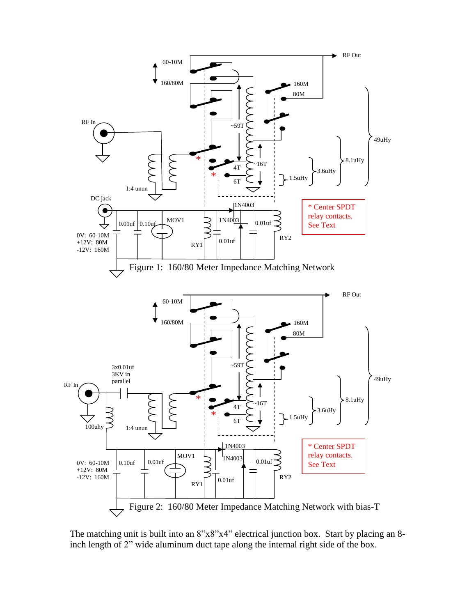

The matching unit is built into an 8"x8"x4" electrical junction box. Start by placing an 8 inch length of 2" wide aluminum duct tape along the internal right side of the box.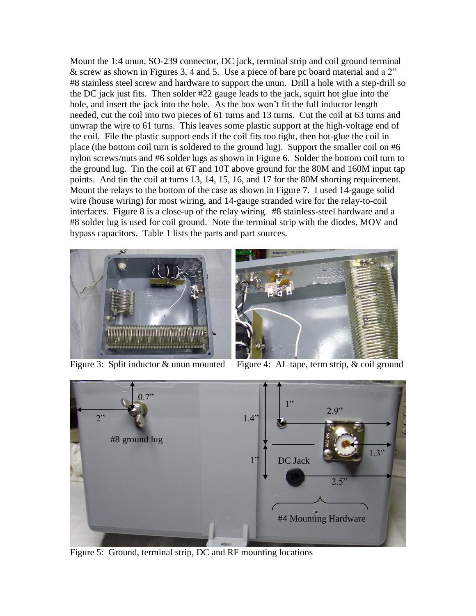Mount the 1:4 unun, SO-239 connector, DC jack, terminal strip and coil ground terminal & screw as shown in Figures 3, 4 and 5. Use a piece of bare pc board material and a 2" #8 stainless steel screw and hardware to support the unun. Drill a hole with a step-drill so the DC jack just fits. Then solder #22 gauge leads to the jack, squirt hot glue into the hole, and insert the jack into the hole. As the box won't fit the full inductor length needed, cut the coil into two pieces of 61 turns and 13 turns. Cut the coil at 63 turns and unwrap the wire to 61 turns. This leaves some plastic support at the high-voltage end of the coil. File the plastic support ends if the coil fits too tight, then hot-glue the coil in place (the bottom coil turn is soldered to the ground lug). Support the smaller coil on #6 nylon screws/nuts and #6 solder lugs as shown in Figure 6. Solder the bottom coil turn to the ground lug. Tin the coil at 6T and 10T above ground for the 80M and 160M input tap points. And tin the coil at turns 13, 14, 15, 16, and 17 for the 80M shorting requirement. Mount the relays to the bottom of the case as shown in Figure 7. I used 14-gauge solid wire (house wiring) for most wiring, and 14-gauge stranded wire for the relay-to-coil interfaces. Figure 8 is a close-up of the relay wiring. #8 stainless-steel hardware and a #8 solder lug is used for coil ground. Note the terminal strip with the diodes, MOV and bypass capacitors. Table 1 lists the parts and part sources.





Figure 3: Split inductor & unun mounted Figure 4: AL tape, term strip, & coil ground



Figure 5: Ground, terminal strip, DC and RF mounting locations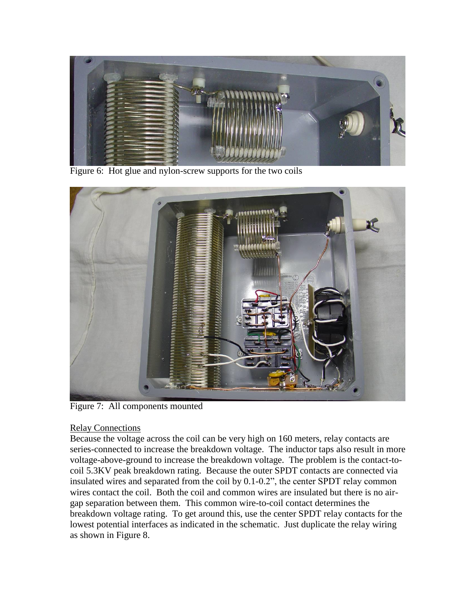

Figure 6: Hot glue and nylon-screw supports for the two coils



Figure 7: All components mounted

# Relay Connections

Because the voltage across the coil can be very high on 160 meters, relay contacts are series-connected to increase the breakdown voltage. The inductor taps also result in more voltage-above-ground to increase the breakdown voltage. The problem is the contact-tocoil 5.3KV peak breakdown rating. Because the outer SPDT contacts are connected via insulated wires and separated from the coil by 0.1-0.2", the center SPDT relay common wires contact the coil. Both the coil and common wires are insulated but there is no airgap separation between them. This common wire-to-coil contact determines the breakdown voltage rating. To get around this, use the center SPDT relay contacts for the lowest potential interfaces as indicated in the schematic. Just duplicate the relay wiring as shown in Figure 8.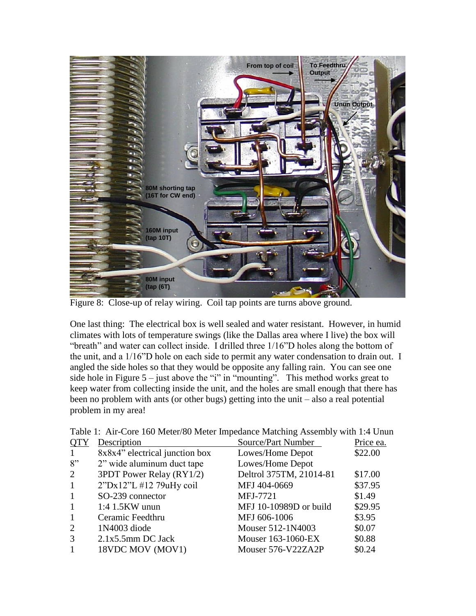

Figure 8: Close-up of relay wiring. Coil tap points are turns above ground.

One last thing: The electrical box is well sealed and water resistant. However, in humid climates with lots of temperature swings (like the Dallas area where I live) the box will "breath" and water can collect inside. I drilled three 1/16"D holes along the bottom of the unit, and a 1/16"D hole on each side to permit any water condensation to drain out. I angled the side holes so that they would be opposite any falling rain. You can see one side hole in Figure  $5 -$  just above the "i" in "mounting". This method works great to keep water from collecting inside the unit, and the holes are small enough that there has been no problem with ants (or other bugs) getting into the unit – also a real potential problem in my area!

| <b>QTY</b>     | Description                    | Source/Part Number      | Price ea. |
|----------------|--------------------------------|-------------------------|-----------|
| -1             | 8x8x4" electrical junction box | Lowes/Home Depot        | \$22.00   |
| 8"             | 2" wide aluminum duct tape     | Lowes/Home Depot        |           |
| $\overline{2}$ | 3PDT Power Relay (RY1/2)       | Deltrol 375TM, 21014-81 | \$17.00   |
| 1              | 2"Dx12"L #12 79uHy coil        | MFJ 404-0669            | \$37.95   |
| $\mathbf{1}$   | SO-239 connector               | MFJ-7721                | \$1.49    |
| $\mathbf{1}$   | $1:4$ 1.5KW unun               | MFJ 10-10989D or build  | \$29.95   |
| $\mathbf{1}$   | Ceramic Feedthru               | MFJ 606-1006            | \$3.95    |
| 2              | 1N4003 diode                   | Mouser 512-1N4003       | \$0.07    |
| 3              | $2.1x5.5mm$ DC Jack            | Mouser 163-1060-EX      | \$0.88    |
| $\mathbf{1}$   | 18VDC MOV (MOV1)               | Mouser 576-V22ZA2P      | \$0.24    |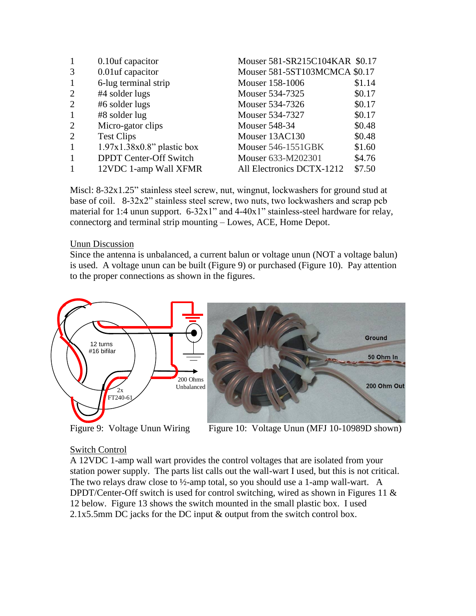| 1              | 0.10uf capacitor              | Mouser 581-SR215C104KAR \$0.17 |        |
|----------------|-------------------------------|--------------------------------|--------|
| 3              | 0.01uf capacitor              | Mouser 581-5ST103MCMCA \$0.17  |        |
| 1              | 6-lug terminal strip          | Mouser 158-1006                | \$1.14 |
| 2              | #4 solder lugs                | Mouser 534-7325                | \$0.17 |
| 2              | #6 solder lugs                | Mouser 534-7326                | \$0.17 |
| $\mathbf{1}$   | #8 solder lug                 | Mouser 534-7327                | \$0.17 |
| $\overline{2}$ | Micro-gator clips             | <b>Mouser 548-34</b>           | \$0.48 |
| 2              | <b>Test Clips</b>             | Mouser 13AC130                 | \$0.48 |
| $\mathbf{1}$   | $1.97x1.38x0.8"$ plastic box  | Mouser 546-1551GBK             | \$1.60 |
| $\mathbf{1}$   | <b>DPDT</b> Center-Off Switch | Mouser 633-M202301             | \$4.76 |
| $\mathbf{1}$   | 12VDC 1-amp Wall XFMR         | All Electronics DCTX-1212      | \$7.50 |

Miscl: 8-32x1.25" stainless steel screw, nut, wingnut, lockwashers for ground stud at base of coil. 8-32x2" stainless steel screw, two nuts, two lockwashers and scrap pcb material for 1:4 unun support. 6-32x1" and 4-40x1" stainless-steel hardware for relay, connectorg and terminal strip mounting – Lowes, ACE, Home Depot.

### Unun Discussion

Since the antenna is unbalanced, a current balun or voltage unun (NOT a voltage balun) is used. A voltage unun can be built (Figure 9) or purchased (Figure 10). Pay attention to the proper connections as shown in the figures.



Figure 9: Voltage Unun Wiring

Figure 10: Voltage Unun (MFJ 10-10989D shown)

### Switch Control

A 12VDC 1-amp wall wart provides the control voltages that are isolated from your station power supply. The parts list calls out the wall-wart I used, but this is not critical. The two relays draw close to  $\frac{1}{2}$ -amp total, so you should use a 1-amp wall-wart. A DPDT/Center-Off switch is used for control switching, wired as shown in Figures 11 & 12 below. Figure 13 shows the switch mounted in the small plastic box. I used 2.1x5.5mm DC jacks for the DC input & output from the switch control box.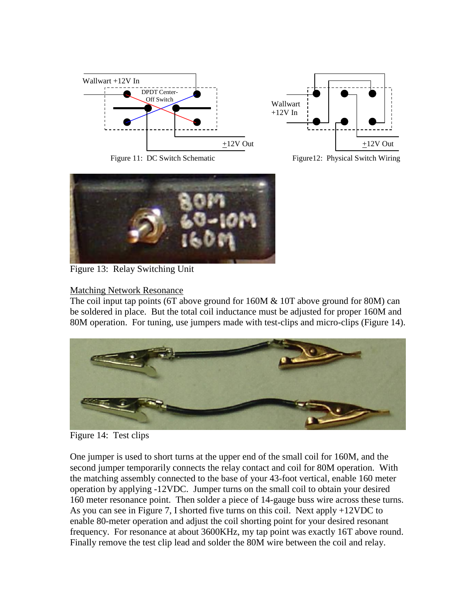



Figure 11: DC Switch Schematic

Figure12: Physical Switch Wiring



Figure 13: Relay Switching Unit

# Matching Network Resonance

The coil input tap points (6T above ground for 160M & 10T above ground for 80M) can be soldered in place. But the total coil inductance must be adjusted for proper 160M and 80M operation. For tuning, use jumpers made with test-clips and micro-clips (Figure 14).



Figure 14: Test clips

One jumper is used to short turns at the upper end of the small coil for 160M, and the second jumper temporarily connects the relay contact and coil for 80M operation. With the matching assembly connected to the base of your 43-foot vertical, enable 160 meter operation by applying -12VDC. Jumper turns on the small coil to obtain your desired 160 meter resonance point. Then solder a piece of 14-gauge buss wire across these turns. As you can see in Figure 7, I shorted five turns on this coil. Next apply +12VDC to enable 80-meter operation and adjust the coil shorting point for your desired resonant frequency. For resonance at about 3600KHz, my tap point was exactly 16T above round. Finally remove the test clip lead and solder the 80M wire between the coil and relay.